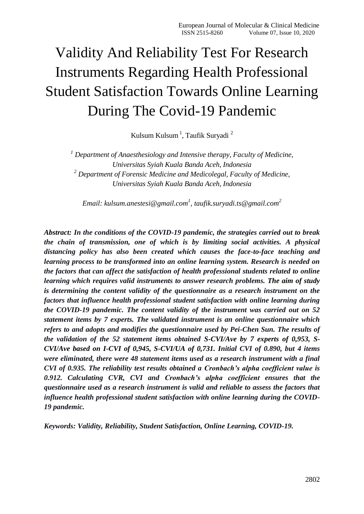# Validity And Reliability Test For Research Instruments Regarding Health Professional Student Satisfaction Towards Online Learning During The Covid-19 Pandemic

Kulsum Kulsum<sup>1</sup>, Taufik Suryadi<sup>2</sup>

*<sup>1</sup> Department of Anaesthesiology and Intensive therapy, Faculty of Medicine, Universitas Syiah Kuala Banda Aceh, Indonesia <sup>2</sup> Department of Forensic Medicine and Medicolegal, Faculty of Medicine, Universitas Syiah Kuala Banda Aceh, Indonesia*

*Email: [kulsum.anestesi@gmail.com](mailto:kulsum.anestesi@gmail.com)<sup>1</sup> , [taufik.suryadi.ts@gmail.com](mailto:taufik.suryadi.ts@gmail.com)<sup>2</sup>*

*Abstract: In the conditions of the COVID-19 pandemic, the strategies carried out to break the chain of transmission, one of which is by limiting social activities. A physical distancing policy has also been created which causes the face-to-face teaching and learning process to be transformed into an online learning system. Research is needed on the factors that can affect the satisfaction of health professional students related to online learning which requires valid instruments to answer research problems. The aim of study is determining the content validity of the questionnaire as a research instrument on the factors that influence health professional student satisfaction with online learning during the COVID-19 pandemic. The content validity of the instrument was carried out on 52 statement items by 7 experts. The validated instrument is an online questionnaire which refers to and adopts and modifies the questionnaire used by Pei-Chen Sun. The results of the validation of the 52 statement items obtained S-CVI/Ave by 7 experts of 0,953, S-CVI/Ave based on I-CVI of 0,945, S-CVI/UA of 0,731. Initial CVI of 0.890, but 4 items were eliminated, there were 48 statement items used as a research instrument with a final CVI of 0.935. The reliability test results obtained a Cronbach's alpha coefficient value is 0.912. Calculating CVR, CVI and Cronbach's alpha coefficient ensures that the questionnaire used as a research instrument is valid and reliable to assess the factors that influence health professional student satisfaction with online learning during the COVID-19 pandemic.*

*Keywords: Validity, Reliability, Student Satisfaction, Online Learning, COVID-19.*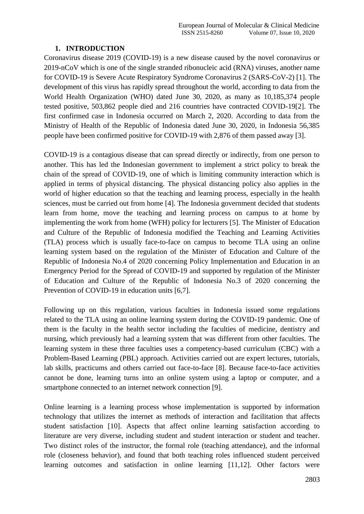## **1. INTRODUCTION**

Coronavirus disease 2019 (COVID-19) is a new disease caused by the novel coronavirus or 2019-nCoV which is one of the single stranded ribonucleic acid (RNA) viruses, another name for COVID-19 is Severe Acute Respiratory Syndrome Coronavirus 2 (SARS-CoV-2) [1]. The development of this virus has rapidly spread throughout the world, according to data from the World Health Organization (WHO) dated June 30, 2020, as many as 10,185,374 people tested positive, 503,862 people died and 216 countries have contracted COVID-19[2]. The first confirmed case in Indonesia occurred on March 2, 2020. According to data from the Ministry of Health of the Republic of Indonesia dated June 30, 2020, in Indonesia 56,385 people have been confirmed positive for COVID-19 with 2,876 of them passed away [3].

COVID-19 is a contagious disease that can spread directly or indirectly, from one person to another. This has led the Indonesian government to implement a strict policy to break the chain of the spread of COVID-19, one of which is limiting community interaction which is applied in terms of physical distancing. The physical distancing policy also applies in the world of higher education so that the teaching and learning process, especially in the health sciences, must be carried out from home [4]. The Indonesia government decided that students learn from home, move the teaching and learning process on campus to at home by implementing the work from home (WFH) policy for lecturers [5]. The Minister of Education and Culture of the Republic of Indonesia modified the Teaching and Learning Activities (TLA) process which is usually face-to-face on campus to become TLA using an online learning system based on the regulation of the Minister of Education and Culture of the Republic of Indonesia No.4 of 2020 concerning Policy Implementation and Education in an Emergency Period for the Spread of COVID-19 and supported by regulation of the Minister of Education and Culture of the Republic of Indonesia No.3 of 2020 concerning the Prevention of COVID-19 in education units [6,7].

Following up on this regulation, various faculties in Indonesia issued some regulations related to the TLA using an online learning system during the COVID-19 pandemic. One of them is the faculty in the health sector including the faculties of medicine, dentistry and nursing, which previously had a learning system that was different from other faculties. The learning system in these three faculties uses a competency-based curriculum (CBC) with a Problem-Based Learning (PBL) approach. Activities carried out are expert lectures, tutorials, lab skills, practicums and others carried out face-to-face [8]. Because face-to-face activities cannot be done, learning turns into an online system using a laptop or computer, and a smartphone connected to an internet network connection [9].

Online learning is a learning process whose implementation is supported by information technology that utilizes the internet as methods of interaction and facilitation that affects student satisfaction [10]. Aspects that affect online learning satisfaction according to literature are very diverse, including student and student interaction or student and teacher. Two distinct roles of the instructor, the formal role (teaching attendance), and the informal role (closeness behavior), and found that both teaching roles influenced student perceived learning outcomes and satisfaction in online learning [11,12]. Other factors were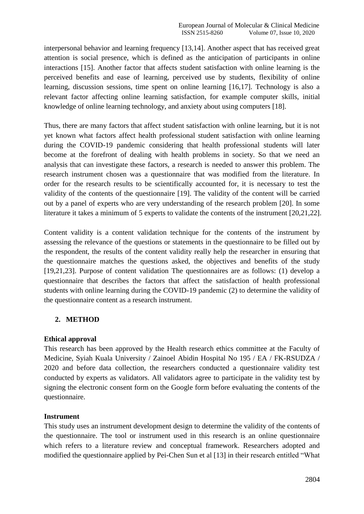interpersonal behavior and learning frequency [13,14]. Another aspect that has received great attention is social presence, which is defined as the anticipation of participants in online interactions [15]. Another factor that affects student satisfaction with online learning is the perceived benefits and ease of learning, perceived use by students, flexibility of online learning, discussion sessions, time spent on online learning [16,17]. Technology is also a relevant factor affecting online learning satisfaction, for example computer skills, initial knowledge of online learning technology, and anxiety about using computers [18].

Thus, there are many factors that affect student satisfaction with online learning, but it is not yet known what factors affect health professional student satisfaction with online learning during the COVID-19 pandemic considering that health professional students will later become at the forefront of dealing with health problems in society. So that we need an analysis that can investigate these factors, a research is needed to answer this problem. The research instrument chosen was a questionnaire that was modified from the literature. In order for the research results to be scientifically accounted for, it is necessary to test the validity of the contents of the questionnaire [19]. The validity of the content will be carried out by a panel of experts who are very understanding of the research problem [20]. In some literature it takes a minimum of 5 experts to validate the contents of the instrument [20,21,22].

Content validity is a content validation technique for the contents of the instrument by assessing the relevance of the questions or statements in the questionnaire to be filled out by the respondent, the results of the content validity really help the researcher in ensuring that the questionnaire matches the questions asked, the objectives and benefits of the study [19,21,23]. Purpose of content validation The questionnaires are as follows: (1) develop a questionnaire that describes the factors that affect the satisfaction of health professional students with online learning during the COVID-19 pandemic (2) to determine the validity of the questionnaire content as a research instrument.

## **2. METHOD**

## **Ethical approval**

This research has been approved by the Health research ethics committee at the Faculty of Medicine, Syiah Kuala University / Zainoel Abidin Hospital No 195 / EA / FK-RSUDZA / 2020 and before data collection, the researchers conducted a questionnaire validity test conducted by experts as validators. All validators agree to participate in the validity test by signing the electronic consent form on the Google form before evaluating the contents of the questionnaire.

## **Instrument**

This study uses an instrument development design to determine the validity of the contents of the questionnaire. The tool or instrument used in this research is an online questionnaire which refers to a literature review and conceptual framework. Researchers adopted and modified the questionnaire applied by Pei-Chen Sun et al [13] in their research entitled "What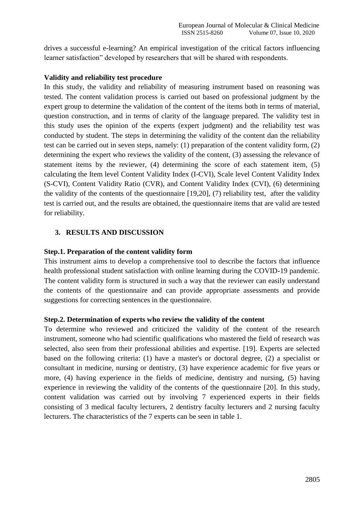drives a successful e-learning? An empirical investigation of the critical factors influencing learner satisfaction" developed by researchers that will be shared with respondents.

## **Validity and reliability test procedure**

In this study, the validity and reliability of measuring instrument based on reasoning was tested. The content validation process is carried out based on professional judgment by the expert group to determine the validation of the content of the items both in terms of material, question construction, and in terms of clarity of the language prepared. The validity test in this study uses the opinion of the experts (expert judgment) and the reliability test was conducted by student. The steps in determining the validity of the content dan the reliability test can be carried out in seven steps, namely: (1) preparation of the content validity form, (2) determining the expert who reviews the validity of the content, (3) assessing the relevance of statement items by the reviewer, (4) determining the score of each statement item, (5) calculating the Item level Content Validity Index (I-CVI), Scale level Content Validity Index (S-CVI), Content Validity Ratio (CVR), and Content Validity Index (CVI), (6) determining the validity of the contents of the questionnaire [19,20], (7) reliability test, after the validity test is carried out, and the results are obtained, the questionnaire items that are valid are tested for reliability.

## **3. RESULTS AND DISCUSSION**

## **Step.1. Preparation of the content validity form**

This instrument aims to develop a comprehensive tool to describe the factors that influence health professional student satisfaction with online learning during the COVID-19 pandemic. The content validity form is structured in such a way that the reviewer can easily understand the contents of the questionnaire and can provide appropriate assessments and provide suggestions for correcting sentences in the questionnaire.

## **Step.2. Determination of experts who review the validity of the content**

To determine who reviewed and criticized the validity of the content of the research instrument, someone who had scientific qualifications who mastered the field of research was selected, also seen from their professional abilities and expertise. [19]. Experts are selected based on the following criteria: (1) have a master's or doctoral degree, (2) a specialist or consultant in medicine, nursing or dentistry, (3) have experience academic for five years or more, (4) having experience in the fields of medicine, dentistry and nursing, (5) having experience in reviewing the validity of the contents of the questionnaire [20]. In this study, content validation was carried out by involving 7 experienced experts in their fields consisting of 3 medical faculty lecturers, 2 dentistry faculty lecturers and 2 nursing faculty lecturers. The characteristics of the 7 experts can be seen in table 1.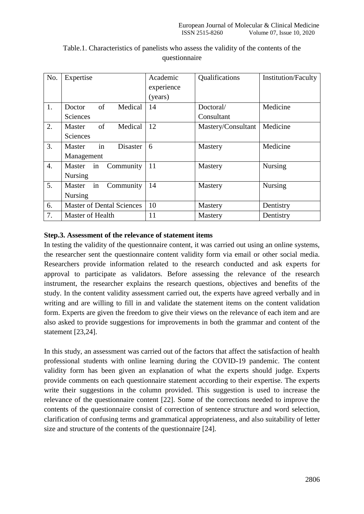| No.              | Expertise                        | Academic   | Qualifications     | <b>Institution/Faculty</b> |
|------------------|----------------------------------|------------|--------------------|----------------------------|
|                  |                                  | experience |                    |                            |
|                  |                                  | (years)    |                    |                            |
| 1.               | of<br>Medical<br>Doctor          | 14         | Doctoral/          | Medicine                   |
|                  | <b>Sciences</b>                  |            | Consultant         |                            |
| 2.               | of<br>Medical<br>Master          | 12         | Mastery/Consultant | Medicine                   |
|                  | <b>Sciences</b>                  |            |                    |                            |
| 3.               | in<br><b>Disaster</b><br>Master  | 6          | Mastery            | Medicine                   |
|                  | Management                       |            |                    |                            |
| $\overline{4}$ . | Community<br>Master<br>in        | 11         | Mastery            | Nursing                    |
|                  | <b>Nursing</b>                   |            |                    |                            |
| 5.               | Community<br>Master<br>in        | 14         | Mastery            | <b>Nursing</b>             |
|                  | <b>Nursing</b>                   |            |                    |                            |
| 6.               | <b>Master of Dental Sciences</b> | 10         | Mastery            | Dentistry                  |
| 7.               | Master of Health                 | 11         | Mastery            | Dentistry                  |

## Table.1. Characteristics of panelists who assess the validity of the contents of the questionnaire

## **Step.3. Assessment of the relevance of statement items**

In testing the validity of the questionnaire content, it was carried out using an online systems, the researcher sent the questionnaire content validity form via email or other social media. Researchers provide information related to the research conducted and ask experts for approval to participate as validators. Before assessing the relevance of the research instrument, the researcher explains the research questions, objectives and benefits of the study. In the content validity assessment carried out, the experts have agreed verbally and in writing and are willing to fill in and validate the statement items on the content validation form. Experts are given the freedom to give their views on the relevance of each item and are also asked to provide suggestions for improvements in both the grammar and content of the statement [23,24].

In this study, an assessment was carried out of the factors that affect the satisfaction of health professional students with online learning during the COVID-19 pandemic. The content validity form has been given an explanation of what the experts should judge. Experts provide comments on each questionnaire statement according to their expertise. The experts write their suggestions in the column provided. This suggestion is used to increase the relevance of the questionnaire content [22]. Some of the corrections needed to improve the contents of the questionnaire consist of correction of sentence structure and word selection, clarification of confusing terms and grammatical appropriateness, and also suitability of letter size and structure of the contents of the questionnaire [24].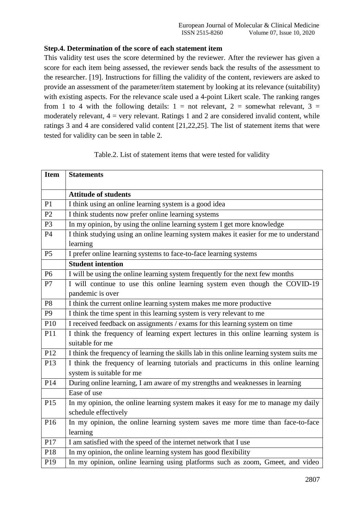## **Step.4. Determination of the score of each statement item**

This validity test uses the score determined by the reviewer. After the reviewer has given a score for each item being assessed, the reviewer sends back the results of the assessment to the researcher. [19]. Instructions for filling the validity of the content, reviewers are asked to provide an assessment of the parameter/item statement by looking at its relevance (suitability) with existing aspects. For the relevance scale used a 4-point Likert scale. The ranking ranges from 1 to 4 with the following details:  $1 =$  not relevant,  $2 =$  somewhat relevant,  $3 =$ moderately relevant,  $4 = \text{very relevant}$ . Ratings 1 and 2 are considered invalid content, while ratings 3 and 4 are considered valid content [21,22,25]. The list of statement items that were tested for validity can be seen in table 2.

| Table.2. List of statement items that were tested for validity |  |
|----------------------------------------------------------------|--|
|----------------------------------------------------------------|--|

| <b>Item</b>    | <b>Statements</b>                                                                        |
|----------------|------------------------------------------------------------------------------------------|
|                |                                                                                          |
|                | <b>Attitude of students</b>                                                              |
| P1             | I think using an online learning system is a good idea                                   |
| P <sub>2</sub> | I think students now prefer online learning systems                                      |
| P <sub>3</sub> | In my opinion, by using the online learning system I get more knowledge                  |
| P4             | I think studying using an online learning system makes it easier for me to understand    |
|                | learning                                                                                 |
| P <sub>5</sub> | I prefer online learning systems to face-to-face learning systems                        |
|                | <b>Student intention</b>                                                                 |
| P <sub>6</sub> | I will be using the online learning system frequently for the next few months            |
| P7             | I will continue to use this online learning system even though the COVID-19              |
|                | pandemic is over                                                                         |
| P <sub>8</sub> | I think the current online learning system makes me more productive                      |
| P <sub>9</sub> | I think the time spent in this learning system is very relevant to me                    |
| P10            | I received feedback on assignments / exams for this learning system on time              |
| P11            | I think the frequency of learning expert lectures in this online learning system is      |
|                | suitable for me                                                                          |
| P12            | I think the frequency of learning the skills lab in this online learning system suits me |
| P13            | I think the frequency of learning tutorials and practicums in this online learning       |
|                | system is suitable for me                                                                |
| P14            | During online learning, I am aware of my strengths and weaknesses in learning            |
|                | Ease of use                                                                              |
| P15            | In my opinion, the online learning system makes it easy for me to manage my daily        |
|                | schedule effectively                                                                     |
| P16            | In my opinion, the online learning system saves me more time than face-to-face           |
|                | learning                                                                                 |
| P17            | I am satisfied with the speed of the internet network that I use                         |
| P18            | In my opinion, the online learning system has good flexibility                           |
| P19            | In my opinion, online learning using platforms such as zoom, Gmeet, and video            |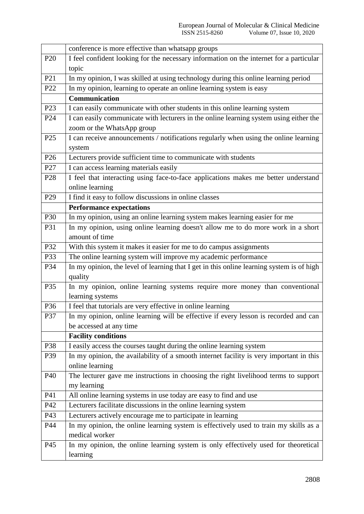|                 | conference is more effective than whatsapp groups                                                                    |
|-----------------|----------------------------------------------------------------------------------------------------------------------|
| P <sub>20</sub> | I feel confident looking for the necessary information on the internet for a particular                              |
|                 | topic                                                                                                                |
| P <sub>21</sub> | In my opinion, I was skilled at using technology during this online learning period                                  |
| P22             | In my opinion, learning to operate an online learning system is easy                                                 |
|                 | Communication                                                                                                        |
| P <sub>23</sub> | I can easily communicate with other students in this online learning system                                          |
| P <sub>24</sub> | I can easily communicate with lecturers in the online learning system using either the<br>zoom or the WhatsApp group |
| P <sub>25</sub> | I can receive announcements / notifications regularly when using the online learning                                 |
|                 | system                                                                                                               |
| P <sub>26</sub> | Lecturers provide sufficient time to communicate with students                                                       |
| P27             | I can access learning materials easily                                                                               |
| P <sub>28</sub> | I feel that interacting using face-to-face applications makes me better understand                                   |
|                 | online learning                                                                                                      |
| P <sub>29</sub> | I find it easy to follow discussions in online classes                                                               |
|                 | <b>Performance expectations</b>                                                                                      |
| P30             | In my opinion, using an online learning system makes learning easier for me                                          |
| P31             | In my opinion, using online learning doesn't allow me to do more work in a short                                     |
|                 | amount of time                                                                                                       |
| P32             | With this system it makes it easier for me to do campus assignments                                                  |
| P33             | The online learning system will improve my academic performance                                                      |
| P34             | In my opinion, the level of learning that I get in this online learning system is of high                            |
|                 | quality                                                                                                              |
| P35             | In my opinion, online learning systems require more money than conventional                                          |
|                 | learning systems                                                                                                     |
| P36             | I feel that tutorials are very effective in online learning                                                          |
| P37             | In my opinion, online learning will be effective if every lesson is recorded and can                                 |
|                 | be accessed at any time                                                                                              |
|                 | <b>Facility conditions</b>                                                                                           |
| P38             | I easily access the courses taught during the online learning system                                                 |
| P39             | In my opinion, the availability of a smooth internet facility is very important in this                              |
|                 | online learning                                                                                                      |
| P40             | The lecturer gave me instructions in choosing the right livelihood terms to support                                  |
|                 | my learning                                                                                                          |
| P41             | All online learning systems in use today are easy to find and use                                                    |
| P42             | Lecturers facilitate discussions in the online learning system                                                       |
| P43             | Lecturers actively encourage me to participate in learning                                                           |
| P44             | In my opinion, the online learning system is effectively used to train my skills as a                                |
|                 | medical worker                                                                                                       |
| P45             | In my opinion, the online learning system is only effectively used for theoretical                                   |
|                 | learning                                                                                                             |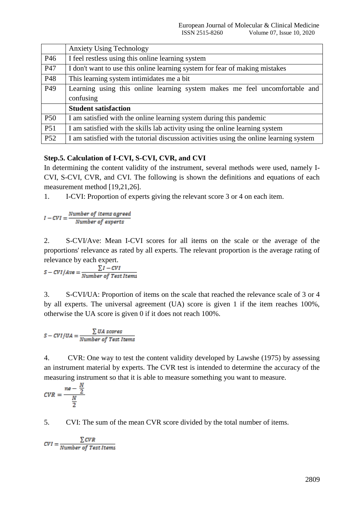|                 | <b>Anxiety Using Technology</b>                                                         |  |  |  |  |  |
|-----------------|-----------------------------------------------------------------------------------------|--|--|--|--|--|
| P46             | I feel restless using this online learning system                                       |  |  |  |  |  |
| P47             | I don't want to use this online learning system for fear of making mistakes             |  |  |  |  |  |
| P48             | This learning system intimidates me a bit                                               |  |  |  |  |  |
| P <sub>49</sub> | Learning using this online learning system makes me feel uncomfortable and              |  |  |  |  |  |
|                 | confusing                                                                               |  |  |  |  |  |
|                 | <b>Student satisfaction</b>                                                             |  |  |  |  |  |
| P <sub>50</sub> | I am satisfied with the online learning system during this pandemic                     |  |  |  |  |  |
| P51             | I am satisfied with the skills lab activity using the online learning system            |  |  |  |  |  |
| <b>P52</b>      | I am satisfied with the tutorial discussion activities using the online learning system |  |  |  |  |  |

## **Step.5. Calculation of I-CVI, S-CVI, CVR, and CVI**

In determining the content validity of the instrument, several methods were used, namely I-CVI, S-CVI, CVR, and CVI. The following is shown the definitions and equations of each measurement method [19,21,26].

1. I-CVI: Proportion of experts giving the relevant score 3 or 4 on each item.

 $I-CVI = \frac{Number\ of\ items\ agreed}{Number\ of\ experts}$ 

2. S-CVI/Ave: Mean I-CVI scores for all items on the scale or the average of the proportions' relevance as rated by all experts. The relevant proportion is the average rating of

relevance by each expert.<br> $S-CVI/Ave = \frac{\sum I-CVI}{Number of TestItems}$ 

3. S-CVI/UA: Proportion of items on the scale that reached the relevance scale of 3 or 4 by all experts. The universal agreement (UA) score is given 1 if the item reaches 100%, otherwise the UA score is given 0 if it does not reach 100%.

$$
S-CVI/UA = \frac{\sum UA\ scores}{Number\ of\ Test\ items}
$$

4. CVR: One way to test the content validity developed by Lawshe (1975) by assessing an instrument material by experts. The CVR test is intended to determine the accuracy of the measuring instrument so that it is able to measure something you want to measure.

$$
CVR = \frac{ne - \frac{N}{2}}{\frac{N}{2}}
$$

5. CVI: The sum of the mean CVR score divided by the total number of items.

 $CVI = \frac{\sum CVR}{Number\ of\ Test\ items}$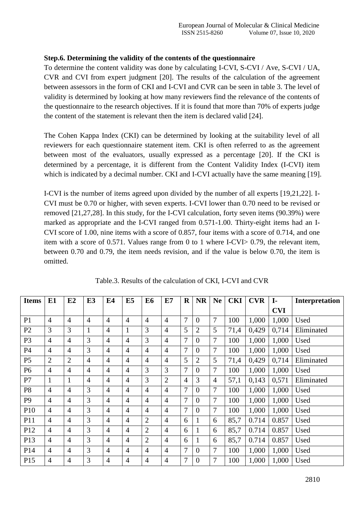## **Step.6. Determining the validity of the contents of the questionnaire**

To determine the content validity was done by calculating I-CVI, S-CVI / Ave, S-CVI / UA, CVR and CVI from expert judgment [20]. The results of the calculation of the agreement between assessors in the form of CKI and I-CVI and CVR can be seen in table 3. The level of validity is determined by looking at how many reviewers find the relevance of the contents of the questionnaire to the research objectives. If it is found that more than 70% of experts judge the content of the statement is relevant then the item is declared valid [24].

The Cohen Kappa Index (CKI) can be determined by looking at the suitability level of all reviewers for each questionnaire statement item. CKI is often referred to as the agreement between most of the evaluators, usually expressed as a percentage [20]. If the CKI is determined by a percentage, it is different from the Content Validity Index (I-CVI) item which is indicated by a decimal number. CKI and I-CVI actually have the same meaning [19].

I-CVI is the number of items agreed upon divided by the number of all experts [19,21,22]. I-CVI must be 0.70 or higher, with seven experts. I-CVI lower than 0.70 need to be revised or removed [21,27,28]. In this study, for the I-CVI calculation, forty seven items (90.39%) were marked as appropriate and the I-CVI ranged from 0.571-1.00. Thirty-eight items had an I-CVI score of 1.00, nine items with a score of 0.857, four items with a score of 0.714, and one item with a score of 0.571. Values range from 0 to 1 where I-CVI> 0.79, the relevant item, between 0.70 and 0.79, the item needs revision, and if the value is below 0.70, the item is omitted.

| <b>Items</b>    | E1             | E2             | E <sub>3</sub> | E4             | E5             | E6             | E7             | $\mathbf R$    | <b>NR</b>        | <b>Ne</b>      | <b>CKI</b> | <b>CVR</b> | $I-$       | Interpretation |
|-----------------|----------------|----------------|----------------|----------------|----------------|----------------|----------------|----------------|------------------|----------------|------------|------------|------------|----------------|
|                 |                |                |                |                |                |                |                |                |                  |                |            |            | <b>CVI</b> |                |
| P <sub>1</sub>  | $\overline{4}$ | $\overline{4}$ | $\overline{4}$ | $\overline{4}$ | $\overline{4}$ | $\overline{4}$ | 4              | 7              | $\overline{0}$   | 7              | 100        | 1,000      | 1,000      | Used           |
| P <sub>2</sub>  | 3              | 3              | $\mathbf{1}$   | $\overline{4}$ | 1              | 3              | 4              | 5              | $\overline{2}$   | 5              | 71,4       | 0,429      | 0,714      | Eliminated     |
| P <sub>3</sub>  | $\overline{4}$ | $\overline{4}$ | 3              | $\overline{4}$ | $\overline{4}$ | 3              | $\overline{4}$ | $\overline{7}$ | $\overline{0}$   | $\overline{7}$ | 100        | 1,000      | 1,000      | Used           |
| P4              | $\overline{4}$ | $\overline{4}$ | 3              | $\overline{4}$ | $\overline{4}$ | $\overline{4}$ | $\overline{4}$ | 7              | $\overline{0}$   | 7              | 100        | 1,000      | 1,000      | Used           |
| P <sub>5</sub>  | $\overline{2}$ | $\overline{2}$ | $\overline{4}$ | $\overline{4}$ | $\overline{4}$ | 4              | 4              | 5              | $\overline{2}$   | 5              | 71,4       | 0,429      | 0,714      | Eliminated     |
| P <sub>6</sub>  | $\overline{4}$ | $\overline{4}$ | $\overline{4}$ | $\overline{4}$ | $\overline{4}$ | 3              | 3              | 7              | $\overline{0}$   | 7              | 100        | 1,000      | 1,000      | Used           |
| P7              | 1              | $\mathbf{1}$   | $\overline{4}$ | $\overline{4}$ | $\overline{4}$ | 3              | $\overline{2}$ | $\overline{4}$ | 3                | $\overline{4}$ | 57,1       | 0,143      | 0,571      | Eliminated     |
| P <sub>8</sub>  | $\overline{4}$ | $\overline{4}$ | 3              | $\overline{4}$ | $\overline{4}$ | $\overline{4}$ | $\overline{4}$ | $\overline{7}$ | $\overline{0}$   | $\overline{7}$ | 100        | 1,000      | 1,000      | Used           |
| P <sub>9</sub>  | $\overline{4}$ | $\overline{4}$ | 3              | $\overline{4}$ | $\overline{4}$ | $\overline{4}$ | 4              | $\overline{7}$ | $\overline{0}$   | $\overline{7}$ | 100        | 1,000      | 1,000      | Used           |
| P <sub>10</sub> | $\overline{4}$ | $\overline{4}$ | 3              | $\overline{4}$ | $\overline{4}$ | $\overline{4}$ | 4              | $\overline{7}$ | $\boldsymbol{0}$ | 7              | 100        | 1,000      | 1,000      | Used           |
| P11             | $\overline{4}$ | $\overline{4}$ | 3              | $\overline{4}$ | $\overline{4}$ | $\overline{2}$ | $\overline{4}$ | 6              |                  | 6              | 85,7       | 0.714      | 0.857      | Used           |
| P12             | $\overline{4}$ | $\overline{4}$ | 3              | $\overline{4}$ | $\overline{4}$ | $\overline{2}$ | 4              | 6              |                  | 6              | 85,7       | 0.714      | 0.857      | Used           |
| P13             | $\overline{4}$ | $\overline{4}$ | 3              | $\overline{4}$ | $\overline{4}$ | $\overline{2}$ | $\overline{4}$ | 6              | $\bf{l}$         | 6              | 85,7       | 0.714      | 0.857      | Used           |
| P14             | $\overline{4}$ | $\overline{4}$ | 3              | $\overline{4}$ | $\overline{4}$ | $\overline{4}$ | $\overline{4}$ | $\overline{7}$ | $\overline{0}$   | $\tau$         | 100        | 1,000      | 1,000      | Used           |
| P15             | $\overline{4}$ | $\overline{4}$ | 3              | $\overline{4}$ | 4              | 4              | $\overline{4}$ | 7              | $\overline{0}$   | 7              | 100        | 1,000      | 1,000      | Used           |

Table.3. Results of the calculation of CKI, I-CVI and CVR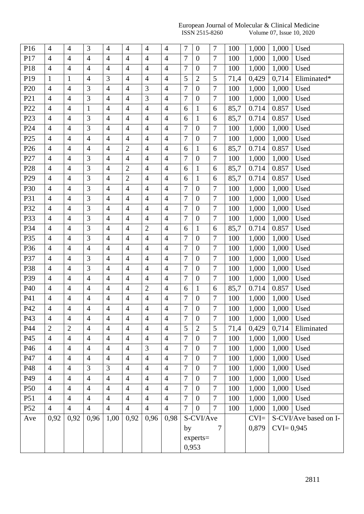#### European Journal of Molecular & Clinical Medicine **ISSN** 2515-8260 Volume 07, Issue 10, 2020

| P16             | $\overline{4}$ | $\overline{4}$ | 3              | $\overline{4}$ | $\overline{4}$ | $\overline{4}$ | $\overline{4}$ | 7                | $\boldsymbol{0}$ | $\overline{7}$ | 100  | 1,000  | 1,000         | Used                  |
|-----------------|----------------|----------------|----------------|----------------|----------------|----------------|----------------|------------------|------------------|----------------|------|--------|---------------|-----------------------|
| P17             | $\overline{4}$ | $\overline{4}$ | $\overline{4}$ | $\overline{4}$ | $\overline{4}$ | $\overline{4}$ | $\overline{4}$ | 7                | $\boldsymbol{0}$ | $\tau$         | 100  | 1,000  | 1,000         | Used                  |
| P18             | $\overline{4}$ | $\overline{4}$ | $\overline{4}$ | $\overline{4}$ | $\overline{4}$ | $\overline{4}$ | $\overline{4}$ | $\overline{7}$   | $\overline{0}$   | $\overline{7}$ | 100  | 1,000  | 1,000         | Used                  |
| P19             | $\mathbf{1}$   | $\mathbf{1}$   | $\overline{4}$ | 3              | $\overline{4}$ | $\overline{4}$ | $\overline{4}$ | 5                | $\overline{2}$   | 5              | 71,4 | 0,429  | 0,714         | Eliminated*           |
| P <sub>20</sub> | $\overline{4}$ | $\overline{4}$ | 3              | $\overline{4}$ | $\overline{4}$ | 3              | $\overline{4}$ | 7                | $\boldsymbol{0}$ | $\overline{7}$ | 100  | 1,000  | 1,000         | Used                  |
| P <sub>21</sub> | $\overline{4}$ | $\overline{4}$ | $\mathfrak{Z}$ | $\overline{4}$ | $\overline{4}$ | 3              | $\overline{4}$ | 7                | $\boldsymbol{0}$ | $\tau$         | 100  | 1,000  | 1,000         | Used                  |
| P22             | $\overline{4}$ | $\overline{4}$ | $\mathbf{1}$   | $\overline{4}$ | $\overline{4}$ | $\overline{4}$ | $\overline{4}$ | 6                | $\mathbf{1}$     | 6              | 85,7 | 0.714  | 0.857         | Used                  |
| P <sub>23</sub> | $\overline{4}$ | $\overline{4}$ | 3              | $\overline{4}$ | $\overline{4}$ | $\overline{4}$ | $\overline{4}$ | 6                | $\mathbf{1}$     | 6              | 85,7 | 0.714  | 0.857         | Used                  |
| P <sub>24</sub> | $\overline{4}$ | $\overline{4}$ | $\mathfrak{Z}$ | $\overline{4}$ | $\overline{4}$ | $\overline{4}$ | $\overline{4}$ | 7                | $\boldsymbol{0}$ | $\overline{7}$ | 100  | 1,000  | 1,000         | Used                  |
| P <sub>25</sub> | $\overline{4}$ | $\overline{4}$ | $\overline{4}$ | $\overline{4}$ | $\overline{4}$ | $\overline{4}$ | $\overline{4}$ | 7                | $\boldsymbol{0}$ | $\overline{7}$ | 100  | 1,000  | 1,000         | Used                  |
| P <sub>26</sub> | $\overline{4}$ | $\overline{4}$ | $\overline{4}$ | $\overline{4}$ | $\overline{2}$ | $\overline{4}$ | $\overline{4}$ | 6                | $\mathbf{1}$     | 6              | 85,7 | 0.714  | 0.857         | Used                  |
| P27             | $\overline{4}$ | $\overline{4}$ | 3              | $\overline{4}$ | $\overline{4}$ | $\overline{4}$ | $\overline{4}$ | 7                | $\overline{0}$   | $\overline{7}$ | 100  | 1,000  | 1,000         | Used                  |
| P <sub>28</sub> | $\overline{4}$ | $\overline{4}$ | 3              | $\overline{4}$ | $\mathbf{2}$   | $\overline{4}$ | $\overline{4}$ | 6                | $\mathbf{1}$     | 6              | 85,7 | 0.714  | 0.857         | Used                  |
| P <sub>29</sub> | $\overline{4}$ | $\overline{4}$ | 3              | $\overline{4}$ | $\overline{2}$ | $\overline{4}$ | $\overline{4}$ | 6                | $\mathbf{1}$     | 6              | 85,7 | 0.714  | 0.857         | Used                  |
| P30             | $\overline{4}$ | $\overline{4}$ | 3              | $\overline{4}$ | $\overline{4}$ | $\overline{4}$ | $\overline{4}$ | $\overline{7}$   | $\overline{0}$   | $\overline{7}$ | 100  | 1,000  | 1,000         | Used                  |
| P31             | $\overline{4}$ | $\overline{4}$ | 3              | $\overline{4}$ | $\overline{4}$ | $\overline{4}$ | $\overline{4}$ | 7                | $\boldsymbol{0}$ | $\overline{7}$ | 100  | 1,000  | 1,000         | Used                  |
| P32             | $\overline{4}$ | $\overline{4}$ | $\mathfrak{Z}$ | $\overline{4}$ | $\overline{4}$ | $\overline{4}$ | $\overline{4}$ | 7                | $\boldsymbol{0}$ | $\tau$         | 100  | 1,000  | 1,000         | Used                  |
| P33             | $\overline{4}$ | $\overline{4}$ | 3              | $\overline{4}$ | $\overline{4}$ | $\overline{4}$ | $\overline{4}$ | $\overline{7}$   | $\overline{0}$   | $\overline{7}$ | 100  | 1,000  | 1,000         | Used                  |
| P34             | $\overline{4}$ | $\overline{4}$ | 3              | $\overline{4}$ | $\overline{4}$ | $\overline{2}$ | $\overline{4}$ | 6                | $\mathbf{1}$     | 6              | 85,7 | 0.714  | 0.857         | Used                  |
| P35             | $\overline{4}$ | $\overline{4}$ | $\mathfrak{Z}$ | $\overline{4}$ | $\overline{4}$ | $\overline{4}$ | $\overline{4}$ | 7                | $\boldsymbol{0}$ | $\tau$         | 100  | 1,000  | 1,000         | Used                  |
| P36             | $\overline{4}$ | $\overline{4}$ | $\overline{4}$ | $\overline{4}$ | $\overline{4}$ | $\overline{4}$ | $\overline{4}$ | 7                | $\boldsymbol{0}$ | $\overline{7}$ | 100  | 1,000  | 1,000         | Used                  |
| P37             | $\overline{4}$ | $\overline{4}$ | 3              | $\overline{4}$ | $\overline{4}$ | $\overline{4}$ | $\overline{4}$ | $\overline{7}$   | $\overline{0}$   | $\overline{7}$ | 100  | 1,000  | 1,000         | Used                  |
| P38             | $\overline{4}$ | $\overline{4}$ | 3              | $\overline{4}$ | $\overline{4}$ | $\overline{4}$ | $\overline{4}$ | 7                | $\overline{0}$   | $\overline{7}$ | 100  | 1,000  | 1,000         | Used                  |
| P39             | $\overline{4}$ | $\overline{4}$ | $\overline{4}$ | $\overline{4}$ | $\overline{4}$ | $\overline{4}$ | $\overline{4}$ | 7                | $\boldsymbol{0}$ | $\tau$         | 100  | 1,000  | 1,000         | Used                  |
| P40             | $\overline{4}$ | $\overline{4}$ | $\overline{4}$ | $\overline{4}$ | $\overline{4}$ | $\overline{2}$ | $\overline{4}$ | 6                | 1                | 6              | 85,7 | 0.714  | 0.857         | Used                  |
| P41             | $\overline{4}$ | $\overline{4}$ | $\overline{4}$ | $\overline{4}$ | $\overline{4}$ | $\overline{4}$ | $\overline{4}$ | $\overline{7}$   | $\boldsymbol{0}$ | $\overline{7}$ | 100  | 1,000  | 1,000         | Used                  |
| P42             | $\overline{4}$ | $\overline{4}$ | $\overline{4}$ | $\overline{4}$ | $\overline{4}$ | $\overline{4}$ | $\overline{4}$ | $\boldsymbol{7}$ | $\boldsymbol{0}$ | $\overline{7}$ | 100  | 1,000  | 1,000         | Used                  |
| P43             | 4              | 4              | 4              | $\overline{4}$ | $\overline{4}$ | 4              | 4              | $\overline{7}$   | $\boldsymbol{0}$ | $\overline{7}$ | 100  | 1,000  | 1,000         | Used                  |
| P44             | $\overline{2}$ | $\overline{2}$ | $\overline{4}$ | $\overline{4}$ | $\overline{4}$ | $\overline{4}$ | $\overline{4}$ | 5                | $\overline{2}$   | 5              | 71,4 | 0,429  | 0,714         | Eliminated            |
| P45             | $\overline{4}$ | $\overline{4}$ | $\overline{4}$ | $\overline{4}$ | $\overline{4}$ | $\overline{4}$ | $\overline{4}$ | 7                | $\overline{0}$   | $\overline{7}$ | 100  | 1,000  | 1,000         | Used                  |
| P46             | $\overline{4}$ | $\overline{4}$ | $\overline{4}$ | $\overline{4}$ | $\overline{4}$ | 3              | $\overline{4}$ | 7                | $\overline{0}$   | $\tau$         | 100  | 1,000  | 1,000         | Used                  |
| P47             | $\overline{4}$ | $\overline{4}$ | $\overline{4}$ | $\overline{4}$ | $\overline{4}$ | $\overline{4}$ | $\overline{4}$ | 7                | $\overline{0}$   | $\tau$         | 100  | 1,000  | 1,000         | Used                  |
| P48             | $\overline{4}$ | $\overline{4}$ | 3              | 3              | $\overline{4}$ | $\overline{4}$ | $\overline{4}$ | $\overline{7}$   | $\boldsymbol{0}$ | $\overline{7}$ | 100  | 1,000  | 1,000         | Used                  |
| P49             | $\overline{4}$ | $\overline{4}$ | $\overline{4}$ | $\overline{4}$ | $\overline{4}$ | $\overline{4}$ | $\overline{4}$ | 7                | $\overline{0}$   | $\overline{7}$ | 100  | 1,000  | 1,000         | Used                  |
| P <sub>50</sub> | $\overline{4}$ | $\overline{4}$ | $\overline{4}$ | $\overline{4}$ | $\overline{4}$ | $\overline{4}$ | $\overline{4}$ | 7                | $\boldsymbol{0}$ | 7              | 100  | 1,000  | 1,000         | Used                  |
| P51             | $\overline{4}$ | $\overline{4}$ | $\overline{4}$ | $\overline{4}$ | $\overline{4}$ | $\overline{4}$ | $\overline{4}$ | 7                | $\overline{0}$   | $\overline{7}$ | 100  | 1,000  | 1,000         | Used                  |
| P <sub>52</sub> | $\overline{4}$ | $\overline{4}$ | $\overline{4}$ | $\overline{4}$ | $\overline{4}$ | $\overline{4}$ | $\overline{4}$ | $\overline{7}$   | $\boldsymbol{0}$ | $\overline{7}$ | 100  | 1,000  | 1,000         | Used                  |
| Ave             | 0,92           | 0,92           | 0,96           | 1,00           | 0,92           | 0,96           | 0,98           |                  | S-CVI/Ave        |                |      | $CVI=$ |               | S-CVI/Ave based on I- |
|                 |                |                |                |                |                |                |                | by               |                  | 7              |      | 0,879  | $CVI = 0,945$ |                       |
|                 |                |                |                |                |                |                |                |                  | $experts =$      |                |      |        |               |                       |
|                 |                |                |                |                |                |                |                |                  | 0,953            |                |      |        |               |                       |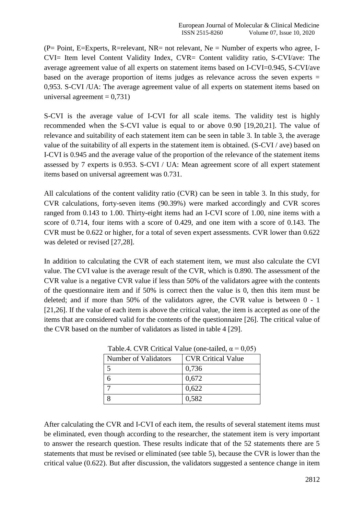$(P= Point, E=Express, R=relevant, NR= not relevant, Ne=Number of experts who agree, I-$ CVI= Item level Content Validity Index, CVR= Content validity ratio, S-CVI/ave: The average agreement value of all experts on statement items based on I-CVI=0.945, S-CVI/ave based on the average proportion of items judges as relevance across the seven experts = 0,953. S-CVI /UA: The average agreement value of all experts on statement items based on universal agreement  $= 0.731$ )

S-CVI is the average value of I-CVI for all scale items. The validity test is highly recommended when the S-CVI value is equal to or above 0.90 [19,20,21]. The value of relevance and suitability of each statement item can be seen in table 3. In table 3, the average value of the suitability of all experts in the statement item is obtained. (S-CVI / ave) based on I-CVI is 0.945 and the average value of the proportion of the relevance of the statement items assessed by 7 experts is 0.953. S-CVI / UA: Mean agreement score of all expert statement items based on universal agreement was 0.731.

All calculations of the content validity ratio (CVR) can be seen in table 3. In this study, for CVR calculations, forty-seven items (90.39%) were marked accordingly and CVR scores ranged from 0.143 to 1.00. Thirty-eight items had an I-CVI score of 1.00, nine items with a score of 0.714, four items with a score of 0.429, and one item with a score of 0.143. The CVR must be 0.622 or higher, for a total of seven expert assessments. CVR lower than 0.622 was deleted or revised [27,28].

In addition to calculating the CVR of each statement item, we must also calculate the CVI value. The CVI value is the average result of the CVR, which is 0.890. The assessment of the CVR value is a negative CVR value if less than 50% of the validators agree with the contents of the questionnaire item and if 50% is correct then the value is 0, then this item must be deleted; and if more than 50% of the validators agree, the CVR value is between 0 - 1 [21,26]. If the value of each item is above the critical value, the item is accepted as one of the items that are considered valid for the contents of the questionnaire [26]. The critical value of the CVR based on the number of validators as listed in table 4 [29].

| Number of Validators | <b>CVR Critical Value</b> |
|----------------------|---------------------------|
|                      | 0,736                     |
|                      | 0,672                     |
|                      | 0,622                     |
|                      | 0,582                     |

Table.4. CVR Critical Value (one-tailed,  $\alpha = 0.05$ )

After calculating the CVR and I-CVI of each item, the results of several statement items must be eliminated, even though according to the researcher, the statement item is very important to answer the research question. These results indicate that of the 52 statements there are 5 statements that must be revised or eliminated (see table 5), because the CVR is lower than the critical value (0.622). But after discussion, the validators suggested a sentence change in item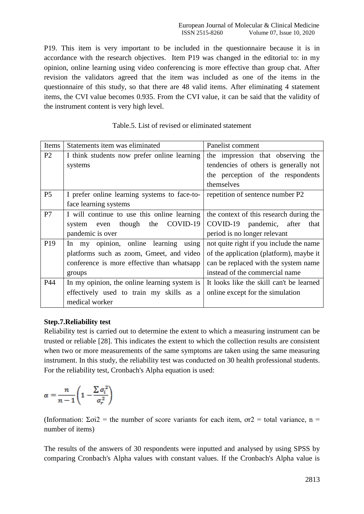P19. This item is very important to be included in the questionnaire because it is in accordance with the research objectives. Item P19 was changed in the editorial to: in my opinion, online learning using video conferencing is more effective than group chat. After revision the validators agreed that the item was included as one of the items in the questionnaire of this study, so that there are 48 valid items. After eliminating 4 statement items, the CVI value becomes 0.935. From the CVI value, it can be said that the validity of the instrument content is very high level.

| Items           | Statements item was eliminated               | Panelist comment                         |
|-----------------|----------------------------------------------|------------------------------------------|
| P <sub>2</sub>  | I think students now prefer online learning  | the impression that observing the        |
|                 | systems                                      | tendencies of others is generally not    |
|                 |                                              | the perception of the respondents        |
|                 |                                              | themselves                               |
| P <sub>5</sub>  | I prefer online learning systems to face-to- | repetition of sentence number P2         |
|                 | face learning systems                        |                                          |
| P7              | I will continue to use this online learning  | the context of this research during the  |
|                 | COVID-19<br>even though<br>the<br>system     | COVID-19 pandemic, after that            |
|                 | pandemic is over                             | period is no longer relevant             |
| P <sub>19</sub> | In my opinion, online learning<br>using      | not quite right if you include the name  |
|                 | platforms such as zoom, Gmeet, and video     | of the application (platform), maybe it  |
|                 | conference is more effective than whatsapp   | can be replaced with the system name     |
|                 | groups                                       | instead of the commercial name           |
| P44             | In my opinion, the online learning system is | It looks like the skill can't be learned |
|                 | effectively used to train my skills as a     | online except for the simulation         |
|                 | medical worker                               |                                          |

## Table.5. List of revised or eliminated statement

## **Step.7.Reliability test**

Reliability test is carried out to determine the extent to which a measuring instrument can be trusted or reliable [28]. This indicates the extent to which the collection results are consistent when two or more measurements of the same symptoms are taken using the same measuring instrument. In this study, the reliability test was conducted on 30 health professional students. For the reliability test, Cronbach's Alpha equation is used:

$$
\alpha = \frac{n}{n-1}\Bigg(1-\frac{\sum \sigma_i^{\,2}}{\sigma_r^{\,2}}\Bigg)
$$

(Information:  $\Sigma \sigma i2$  = the number of score variants for each item,  $\sigma r2$  = total variance, n = number of items)

The results of the answers of 30 respondents were inputted and analysed by using SPSS by comparing Cronbach's Alpha values with constant values. If the Cronbach's Alpha value is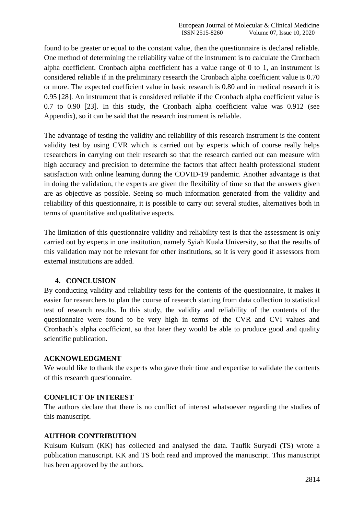found to be greater or equal to the constant value, then the questionnaire is declared reliable. One method of determining the reliability value of the instrument is to calculate the Cronbach alpha coefficient. Cronbach alpha coefficient has a value range of 0 to 1, an instrument is considered reliable if in the preliminary research the Cronbach alpha coefficient value is 0.70 or more. The expected coefficient value in basic research is 0.80 and in medical research it is 0.95 [28]. An instrument that is considered reliable if the Cronbach alpha coefficient value is 0.7 to 0.90 [23]. In this study, the Cronbach alpha coefficient value was 0.912 (see Appendix), so it can be said that the research instrument is reliable.

The advantage of testing the validity and reliability of this research instrument is the content validity test by using CVR which is carried out by experts which of course really helps researchers in carrying out their research so that the research carried out can measure with high accuracy and precision to determine the factors that affect health professional student satisfaction with online learning during the COVID-19 pandemic. Another advantage is that in doing the validation, the experts are given the flexibility of time so that the answers given are as objective as possible. Seeing so much information generated from the validity and reliability of this questionnaire, it is possible to carry out several studies, alternatives both in terms of quantitative and qualitative aspects.

The limitation of this questionnaire validity and reliability test is that the assessment is only carried out by experts in one institution, namely Syiah Kuala University, so that the results of this validation may not be relevant for other institutions, so it is very good if assessors from external institutions are added.

## **4. CONCLUSION**

By conducting validity and reliability tests for the contents of the questionnaire, it makes it easier for researchers to plan the course of research starting from data collection to statistical test of research results. In this study, the validity and reliability of the contents of the questionnaire were found to be very high in terms of the CVR and CVI values and Cronbach's alpha coefficient, so that later they would be able to produce good and quality scientific publication.

## **ACKNOWLEDGMENT**

We would like to thank the experts who gave their time and expertise to validate the contents of this research questionnaire.

## **CONFLICT OF INTEREST**

The authors declare that there is no conflict of interest whatsoever regarding the studies of this manuscript.

## **AUTHOR CONTRIBUTION**

Kulsum Kulsum (KK) has collected and analysed the data. Taufik Suryadi (TS) wrote a publication manuscript. KK and TS both read and improved the manuscript. This manuscript has been approved by the authors.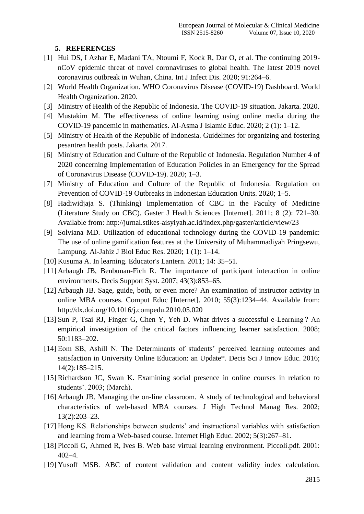## **5. REFERENCES**

- [1] Hui DS, I Azhar E, Madani TA, Ntoumi F, Kock R, Dar O, et al. The continuing 2019nCoV epidemic threat of novel coronaviruses to global health. The latest 2019 novel coronavirus outbreak in Wuhan, China. Int J Infect Dis. 2020; 91:264–6.
- [2] World Health Organization. WHO Coronavirus Disease (COVID-19) Dashboard. World Health Organization. 2020.
- [3] Ministry of Health of the Republic of Indonesia. The COVID-19 situation. Jakarta. 2020.
- [4] Mustakim M. The effectiveness of online learning using online media during the COVID-19 pandemic in mathematics. Al-Asma J Islamic Educ. 2020; 2 (1): 1–12.
- [5] Ministry of Health of the Republic of Indonesia. Guidelines for organizing and fostering pesantren health posts. Jakarta. 2017.
- [6] Ministry of Education and Culture of the Republic of Indonesia. Regulation Number 4 of 2020 concerning Implementation of Education Policies in an Emergency for the Spread of Coronavirus Disease (COVID-19). 2020; 1–3.
- [7] Ministry of Education and Culture of the Republic of Indonesia. Regulation on Prevention of COVID-19 Outbreaks in Indonesian Education Units. 2020; 1–5.
- [8] Hadiwidjaja S. (Thinking) Implementation of CBC in the Faculty of Medicine (Literature Study on CBC). Gaster J Health Sciences [Internet]. 2011; 8 (2): 721–30. Available from: http://jurnal.stikes-aisyiyah.ac.id/index.php/gaster/article/view/23
- [9] Solviana MD. Utilization of educational technology during the COVID-19 pandemic: The use of online gamification features at the University of Muhammadiyah Pringsewu, Lampung. Al-Jahiz J Biol Educ Res. 2020; 1 (1): 1–14.
- [10] Kusuma A. In learning. Educator's Lantern. 2011; 14: 35–51.
- [11] Arbaugh JB, Benbunan-Fich R. The importance of participant interaction in online environments. Decis Support Syst. 2007; 43(3):853–65.
- [12] Arbaugh JB. Sage, guide, both, or even more? An examination of instructor activity in online MBA courses. Comput Educ [Internet]. 2010; 55(3):1234–44. Available from: http://dx.doi.org/10.1016/j.compedu.2010.05.020
- [13] Sun P, Tsai RJ, Finger G, Chen Y, Yeh D. What drives a successful e-Learning ? An empirical investigation of the critical factors influencing learner satisfaction. 2008; 50:1183–202.
- [14] Eom SB, Ashill N. The Determinants of students' perceived learning outcomes and satisfaction in University Online Education: an Update\*. Decis Sci J Innov Educ. 2016; 14(2):185–215.
- [15] Richardson JC, Swan K. Examining social presence in online courses in relation to students'. 2003; (March).
- [16] Arbaugh JB. Managing the on-line classroom. A study of technological and behavioral characteristics of web-based MBA courses. J High Technol Manag Res. 2002; 13(2):203–23.
- [17] Hong KS. Relationships between students' and instructional variables with satisfaction and learning from a Web-based course. Internet High Educ. 2002; 5(3):267–81.
- [18] Piccoli G, Ahmed R, Ives B. Web base virtual learning environment. Piccoli.pdf. 2001: 402–4.
- [19] Yusoff MSB. ABC of content validation and content validity index calculation.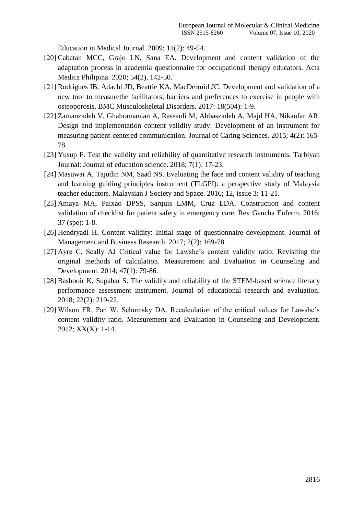Education in Medical Journal. 2009; 11(2): 49-54.

- [20] Cabatan MCC, Grajo LN, Sana EA. Development and content validation of the adaptation process in academia questionnaire for occupational therapy educators. Acta Medica Philipina. 2020; 54(2), 142-50.
- [21] Rodrigues IB, Adachi JD, Beattie KA, MacDermid JC. Development and validation of a new tool to measurethe facilitators, barriers and preferences to exercise in people with osteoporosis. BMC Musculoskeletal Disorders. 2017: 18(504): 1-9.
- [22] Zamanzadeh V, Ghahramanian A, Rassaoli M, Abbaszadeh A, Majd HA, Nikanfar AR. Design and implementation content validity study: Development of an instrument for measuring patient-centered communication. Journal of Caring Sciences. 2015; 4(2): 165- 78.
- [23] Yusup F. Test the validity and reliability of quantitative research instruments. Tarbiyah Journal: Journal of education science. 2018; 7(1): 17-23.
- [24] Masuwai A, Tajudin NM, Saad NS. Evaluating the face and content validity of teaching and learning guiding principles instrument (TLGPI): a perspective study of Malaysia teacher educators. Malaysian J Society and Space. 2016; 12, issue 3: 11-21.
- [25] Amaya MA, Paixao DPSS, Sarquis LMM, Cruz EDA. Construction and content validation of checklist for patient safety in emergency care. Rev Gaucha Enferm, 2016; 37 (spe): 1-8.
- [26] Hendryadi H. Content validity: Initial stage of questionnaire development. Journal of Management and Business Research. 2017; 2(2): 169-78.
- [27] Ayre C, Scally AJ Critical value for Lawshe's content validity ratio: Revisiting the original methods of calculation. Measurement and Evaluation in Counseling and Development. 2014; 47(1): 79-86.
- [28] Bashooir K, Supahar S. The validity and reliability of the STEM-based science literacy performance assessment instrument. Journal of educational research and evaluation. 2018; 22(2): 219-22.
- [29] Wilson FR, Pan W, Schumsky DA. Recalculation of the critical values for Lawshe's content validity ratio. Measurement and Evaluation in Counseling and Development. 2012; XX(X): 1-14.